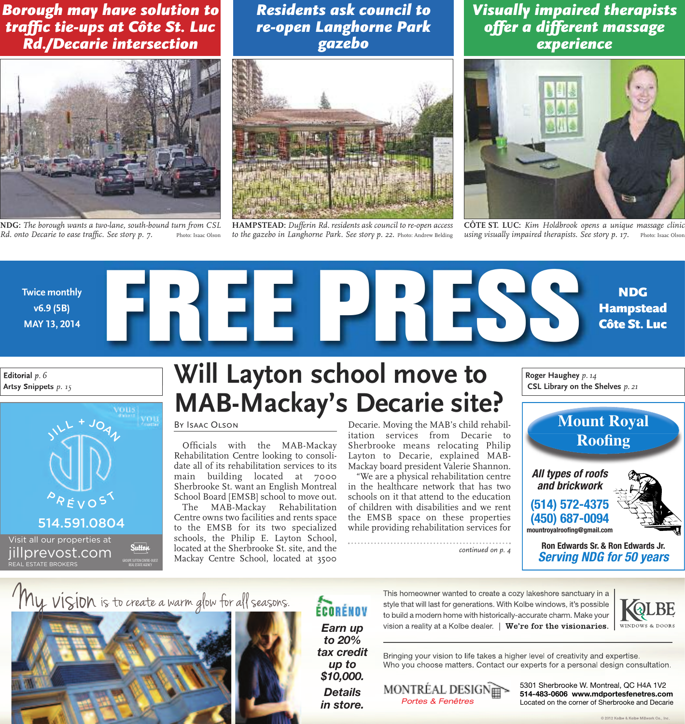*Borough may have solution to traffic tie-ups at Côte St. Luc Rd./Decarie intersection*



**NDG:** *The borough wants a two-lane, south-bound turn from CSL Rd. onto Decarie to ease traffic. See story p. 7.* Photo: Isaac Olson

*Residents ask council to re-open Langhorne Park gazebo*



**HAMPSTEAD:** *Dufferin Rd. residents ask council to re-open access to the gazebo in Langhorne Park. See story p. 22.* Photo: Andrew Belding

*Visually impaired therapists offer a different massage experience*



**CÔTE ST. LUC:** *Kim Holdbrook opens a unique massage clinic using visually impaired therapists. See story p. 17.* Photo: Isaac Olson



**Editorial** *p. 6* **Artsy Snippets** *p. 15*



## **Will Layton school move to MAB-Mackay's Decarie site?**

#### By Isaac Olson

Officials with the MAB-Mackay Rehabilitation Centre looking to consolidate all of its rehabilitation services to its main building located at 7000 Sherbrooke St. want an English Montreal School Board [EMSB] school to move out.

The MAB-Mackay Rehabilitation Centre owns two facilities and rents space to the EMSB for its two specialized schools, the Philip E. Layton School, located at the Sherbrooke St. site, and the Mackay Centre School, located at 3500

Decarie. Moving the MAB's child rehabilitation services from Decarie to Sherbrooke means relocating Philip Layton to Decarie, explained MAB-Mackay board president Valerie Shannon.

"We are a physical rehabilitation centre in the healthcare network that has two schools on it that attend to the education of children with disabilities and we rent the EMSB space on these properties while providing rehabilitation services for

....................................

*continued on p. 4*

**Roger Haughey** *p.14* **CSL Library on the Shelves** *p. 21*



**Ron Edwards Sr. & Ron Edwards Jr. Serving NDG for 50 years**







This homeowner wanted to create a cozy lakeshore sanctuary in a style that will last for generations. With Kolbe windows, it's possible to build a modern home with historically-accurate charm. Make your vision a reality at a Kolbe dealer. | We're for the visionaries.



Bringing your vision to life takes a higher level of creativity and expertise. Who you choose matters. Contact our experts for a personal design consultation.

MONTRÉAL DESIGNET

5301 Sherbrooke W. Montreal, QC H4A 1V2 514-483-0606 www.mdportesfenetres.com Portes & Fenêtres<br>Located on the corner of Sherbrooke and Decarie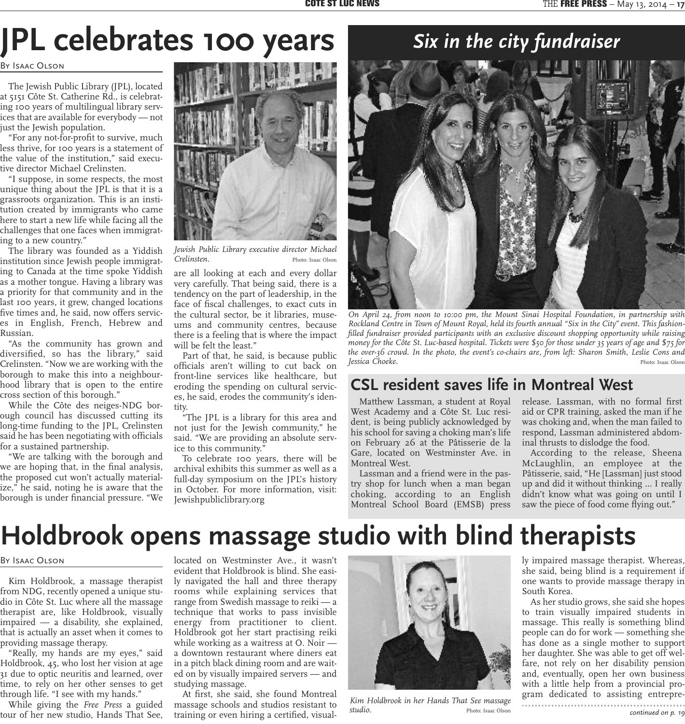# **JPL celebrates 100 years**

By Isaac Olson

The Jewish Public Library (JPL), located at 5151 Côte St. Catherine Rd., is celebrating 100 years of multilingual library services that are available for everybody — not just the Jewish population.

"For any not-for-profit to survive, much less thrive, for 100 years is a statement of the value of the institution," said executive director Michael Crelinsten.

"I suppose, in some respects, the most unique thing about the JPL is that it is a grassroots organization. This is an institution created by immigrants who came here to start a new life while facing all the challenges that one faces when immigrating to a new country."

The library was founded as a Yiddish institution since Jewish people immigrating to Canada at the time spoke Yiddish as a mother tongue. Having a library was a priority for that community and in the last 100 years, it grew, changed locations five times and, he said, now offers services in English, French, Hebrew and Russian.

"As the community has grown and diversified, so has the library," said Crelinsten. "Now we are working with the borough to make this into a neighbourhood library that is open to the entire cross section of this borough."

While the Côte des neiges-NDG borough council has discussed cutting its long-time funding to the JPL, Crelinsten said he has been negotiating with officials for a sustained partnership.

"We are talking with the borough and we are hoping that, in the final analysis, the proposed cut won't actually materialize," he said, noting he is aware that the borough is under financial pressure. "We



*Jewish Public Library executive director Michael Crelinsten.* Photo: Isaac Olson

are all looking at each and every dollar very carefully. That being said, there is a tendency on the part of leadership, in the face of fiscal challenges, to exact cuts in the cultural sector, be it libraries, museums and community centres, because there is a feeling that is where the impact will be felt the least."

Part of that, he said, is because public officials aren't willing to cut back on front-line services like healthcare, but eroding the spending on cultural services, he said, erodes the community's identity.

"The JPL is a library for this area and not just for the Jewish community," he said. "We are providing an absolute service to this community."

To celebrate 100 years, there will be archival exhibits this summer as well as a full-day symposium on the JPL's history in October. For more information, visit: Jewishpubliclibrary.org

### *Six in the city fundraiser*



*On April 24, from noon to 10:00 pm, the Mount Sinai Hospital Foundation, in partnership with* Rockland Centre in Town of Mount Royal, held its fourth annual "Six in the City" event. This fashion*filled fundraiser provided participants with an exclusive discount shopping opportunity while raising* money for the Côte St. Luc-based hospital. Tickets were \$50 for those under 35 years of age and \$75 for *the over-36 crowd. In the photo, the event's co-chairs are, from left: Sharon Smith, Leslie Cons and Jessica* Choeke. **Photo:** Isaac Olson **Photo: Isaac Olson** Photo: Isaac Olson

#### **CSL resident saves life in Montreal West**

Matthew Lassman, a student at Royal West Academy and a Côte St. Luc resident, is being publicly acknowledged by his school for saving a choking man's life on February 26 at the Pâtisserie de la Gare, located on Westminster Ave. in Montreal West.

Lassman and a friend were in the pastry shop for lunch when a man began choking, according to an English Montreal School Board (EMSB) press release. Lassman, with no formal first aid or CPR training, asked the man if he was choking and, when the man failed to respond, Lassman administered abdominal thrusts to dislodge the food.

According to the release, Sheena McLaughlin, an employee at the Pâtisserie, said, "He [Lassman] just stood up and did it without thinking … I really didn't know what was going on until I saw the piece of food come flying out."

# **Holdbrook opens massage studio with blind therapists**

#### By Isaac Olson

Kim Holdbrook, a massage therapist from NDG, recently opened a unique studio in Côte St. Luc where all the massage therapist are, like Holdbrook, visually impaired — a disability, she explained, that is actually an asset when it comes to providing massage therapy.

"Really, my hands are my eyes," said Holdbrook, 45, who lost her vision at age 31 due to optic neuritis and learned, over time, to rely on her other senses to get through life. "I see with my hands."

While giving the *Free Press* a guided tour of her new studio, Hands That See,

located on Westminster Ave., it wasn't evident that Holdbrook is blind. She easily navigated the hall and three therapy rooms while explaining services that range from Swedish massage to reiki — a technique that works to pass invisible energy from practitioner to client. Holdbrook got her start practising reiki while working as a waitress at O. Noir a downtown restaurant where diners eat in a pitch black dining room and are waited on by visually impaired servers — and studying massage.

At first, she said, she found Montreal massage schools and studios resistant to training or even hiring a certified, visual-



*Kim Holdbrook in her Hands That See massage studio. Photo:* Isaac Olson *continued on p.* 19

ly impaired massage therapist. Whereas, she said, being blind is a requirement if one wants to provide massage therapy in South Korea.

As her studio grows, she said she hopes to train visually impaired students in massage. This really is something blind people can do for work — something she has done as a single mother to support her daughter. She was able to get off welfare, not rely on her disability pension and, eventually, open her own business with a little help from a provincial program dedicated to assisting entrepre-